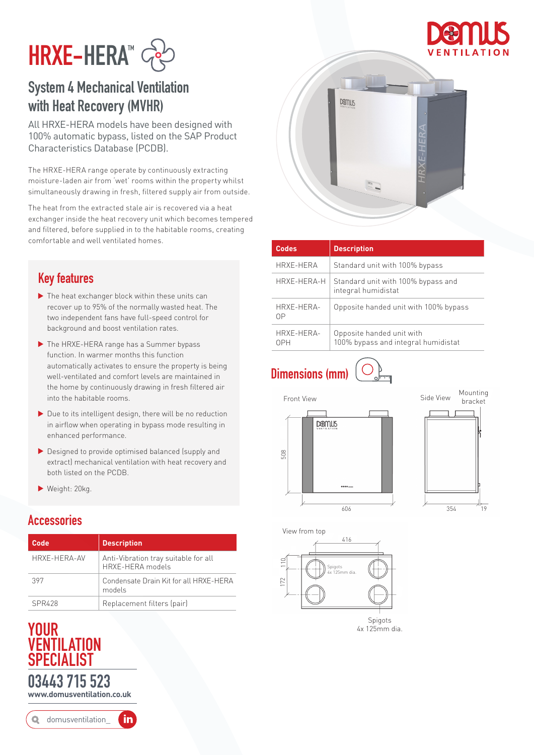



### System 4 Mechanical Ventilation with Heat Recovery (MVHR)

All HRXE-HERA models have been designed with 100% automatic bypass, listed on the SAP Product Characteristics Database (PCDB).

The HRXE-HERA range operate by continuously extracting moisture-laden air from 'wet' rooms within the property whilst simultaneously drawing in fresh, filtered supply air from outside.

The heat from the extracted stale air is recovered via a heat exchanger inside the heat recovery unit which becomes tempered and filtered, before supplied in to the habitable rooms, creating comfortable and well ventilated homes.

#### Key features

- ▶ The heat exchanger block within these units can recover up to 95% of the normally wasted heat. The two independent fans have full-speed control for background and boost ventilation rates.
- The HRXE-HERA range has a Summer bypass function. In warmer months this function automatically activates to ensure the property is being well-ventilated and comfort levels are maintained in the home by continuously drawing in fresh filtered air into the habitable rooms.
- Due to its intelligent design, there will be no reduction in airflow when operating in bypass mode resulting in enhanced performance.
- Designed to provide optimised balanced (supply and extract) mechanical ventilation with heat recovery and both listed on the PCDB.
- Weight: 20kg.

#### **Accessories**

| Code         | <b>Description</b>                                       |
|--------------|----------------------------------------------------------|
| HRXF-HFRA-AV | Anti-Vibration tray suitable for all<br>HRXE-HERA models |
| 397          | Condensate Drain Kit for all HRXE-HERA<br>models         |
| SPR428       | Replacement filters (pair)                               |

### $\frac{4 \times 125 \text{mm}}{4 \times 125 \text{mm}}$  dia. VENTILATION SPECIALIST 03443 715 523 **www.domusventilation.co.uk**

in domusventilation\_



| <b>Codes</b>             | <b>Description</b>                                               |
|--------------------------|------------------------------------------------------------------|
| HRXE-HERA                | Standard unit with 100% bypass                                   |
| HRXE-HERA-H              | Standard unit with 100% bypass and<br>integral humidistat        |
| HRXE-HERA-<br>ΩP         | Opposite handed unit with 100% bypass                            |
| HRXE-HERA-<br><b>NPH</b> | Opposite handed unit with<br>100% bypass and integral humidistat |

## Dimensions (mm)